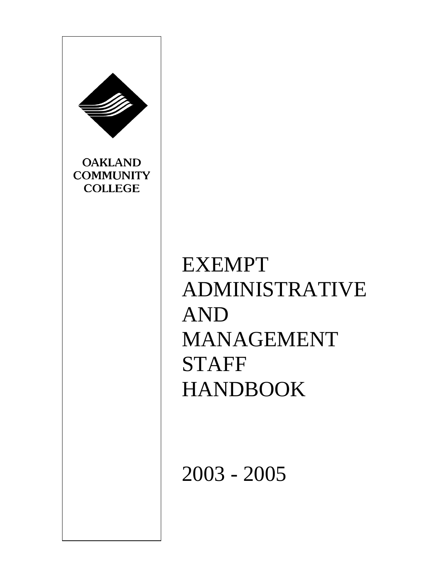

EXEMPT ADMINISTRATIVE AND MANAGEMENT STAFF HANDBOOK

2003 - 2005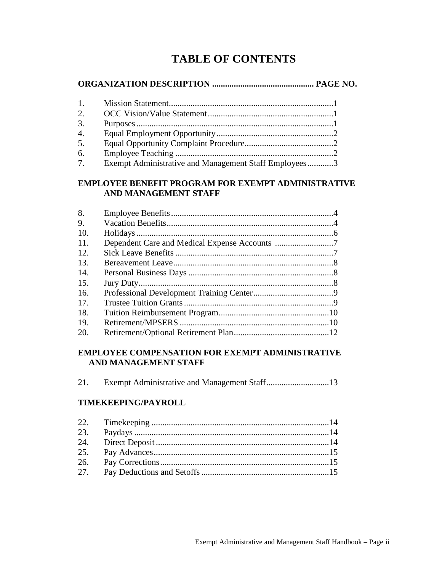# **TABLE OF CONTENTS**

# **ORGANIZATION DESCRIPTION ............................................... PAGE NO.**

| 1. |                                                       |  |
|----|-------------------------------------------------------|--|
| 2. |                                                       |  |
| 3. |                                                       |  |
| 4. |                                                       |  |
| 5. |                                                       |  |
| 6. |                                                       |  |
| 7. | Exempt Administrative and Management Staff Employees3 |  |

#### **EMPLOYEE BENEFIT PROGRAM FOR EXEMPT ADMINISTRATIVE AND MANAGEMENT STAFF**

# **EMPLOYEE COMPENSATION FOR EXEMPT ADMINISTRATIVE AND MANAGEMENT STAFF**

| 21. |  |
|-----|--|
|     |  |

# **TIMEKEEPING/PAYROLL**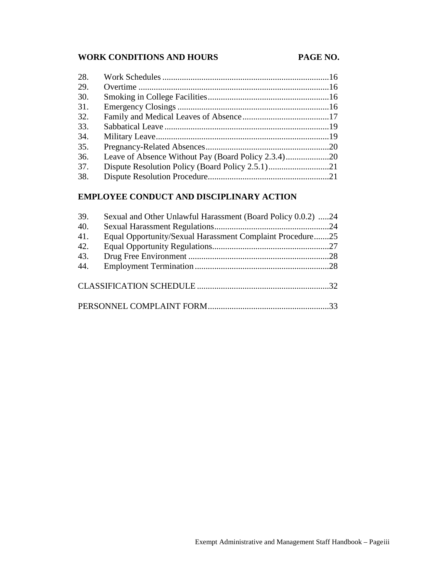# WORK CONDITIONS AND HOURS PAGE NO.

| 28. |  |
|-----|--|
| 29. |  |
| 30. |  |
| 31. |  |
| 32. |  |
| 33. |  |
| 34. |  |
| 35. |  |
| 36. |  |
| 37. |  |
| 38. |  |

# **EMPLOYEE CONDUCT AND DISCIPLINARY ACTION**

| 39. | Sexual and Other Unlawful Harassment (Board Policy 0.0.2) 24 |  |
|-----|--------------------------------------------------------------|--|
| 40. |                                                              |  |
| 41. | Equal Opportunity/Sexual Harassment Complaint Procedure25    |  |
| 42. |                                                              |  |
| 43. |                                                              |  |
| 44. |                                                              |  |
|     |                                                              |  |
|     |                                                              |  |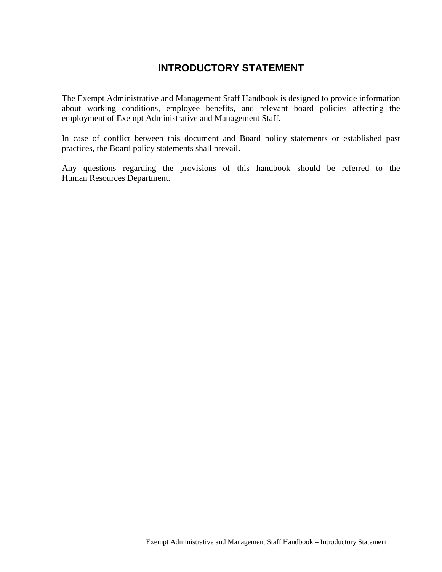# **INTRODUCTORY STATEMENT**

The Exempt Administrative and Management Staff Handbook is designed to provide information about working conditions, employee benefits, and relevant board policies affecting the employment of Exempt Administrative and Management Staff.

In case of conflict between this document and Board policy statements or established past practices, the Board policy statements shall prevail.

Any questions regarding the provisions of this handbook should be referred to the Human Resources Department.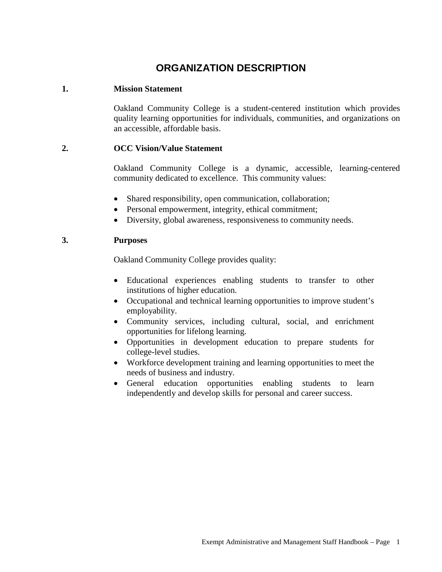# **ORGANIZATION DESCRIPTION**

#### **1. Mission Statement**

Oakland Community College is a student-centered institution which provides quality learning opportunities for individuals, communities, and organizations on an accessible, affordable basis.

#### **2. OCC Vision/Value Statement**

Oakland Community College is a dynamic, accessible, learning-centered community dedicated to excellence. This community values:

- Shared responsibility, open communication, collaboration;
- Personal empowerment, integrity, ethical commitment;
- Diversity, global awareness, responsiveness to community needs.

#### **3. Purposes**

Oakland Community College provides quality:

- Educational experiences enabling students to transfer to other institutions of higher education.
- Occupational and technical learning opportunities to improve student's employability.
- Community services, including cultural, social, and enrichment opportunities for lifelong learning.
- Opportunities in development education to prepare students for college-level studies.
- Workforce development training and learning opportunities to meet the needs of business and industry.
- General education opportunities enabling students to learn independently and develop skills for personal and career success.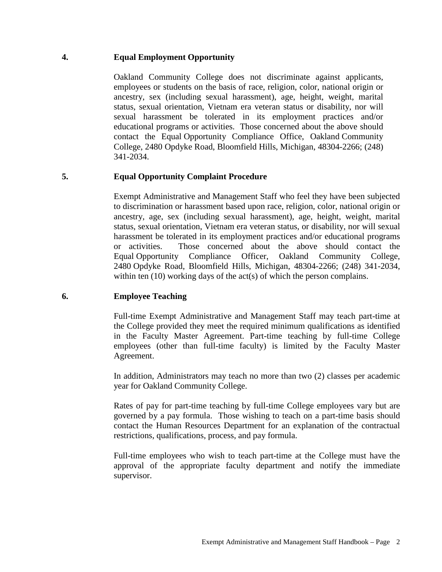### **4. Equal Employment Opportunity**

Oakland Community College does not discriminate against applicants, employees or students on the basis of race, religion, color, national origin or ancestry, sex (including sexual harassment), age, height, weight, marital status, sexual orientation, Vietnam era veteran status or disability, nor will sexual harassment be tolerated in its employment practices and/or educational programs or activities. Those concerned about the above should contact the Equal Opportunity Compliance Office, Oakland Community College, 2480 Opdyke Road, Bloomfield Hills, Michigan, 48304-2266; (248) 341-2034.

# **5. Equal Opportunity Complaint Procedure**

Exempt Administrative and Management Staff who feel they have been subjected to discrimination or harassment based upon race, religion, color, national origin or ancestry, age, sex (including sexual harassment), age, height, weight, marital status, sexual orientation, Vietnam era veteran status, or disability, nor will sexual harassment be tolerated in its employment practices and/or educational programs or activities. Those concerned about the above should contact the Equal Opportunity Compliance Officer, Oakland Community College, 2480 Opdyke Road, Bloomfield Hills, Michigan, 48304-2266; (248) 341-2034, within ten (10) working days of the act(s) of which the person complains.

# **6. Employee Teaching**

Full-time Exempt Administrative and Management Staff may teach part-time at the College provided they meet the required minimum qualifications as identified in the Faculty Master Agreement. Part-time teaching by full-time College employees (other than full-time faculty) is limited by the Faculty Master Agreement.

In addition, Administrators may teach no more than two (2) classes per academic year for Oakland Community College.

Rates of pay for part-time teaching by full-time College employees vary but are governed by a pay formula. Those wishing to teach on a part-time basis should contact the Human Resources Department for an explanation of the contractual restrictions, qualifications, process, and pay formula.

Full-time employees who wish to teach part-time at the College must have the approval of the appropriate faculty department and notify the immediate supervisor.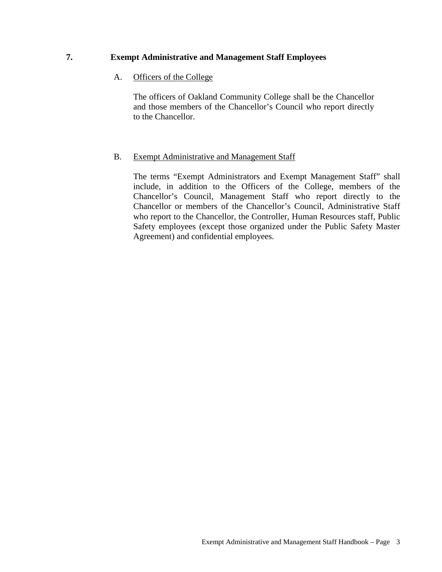# **7. Exempt Administrative and Management Staff Employees**

#### A. Officers of the College

The officers of Oakland Community College shall be the Chancellor and those members of the Chancellor's Council who report directly to the Chancellor.

#### B. Exempt Administrative and Management Staff

The terms "Exempt Administrators and Exempt Management Staff" shall include, in addition to the Officers of the College, members of the Chancellor's Council, Management Staff who report directly to the Chancellor or members of the Chancellor's Council, Administrative Staff who report to the Chancellor, the Controller, Human Resources staff, Public Safety employees (except those organized under the Public Safety Master Agreement) and confidential employees.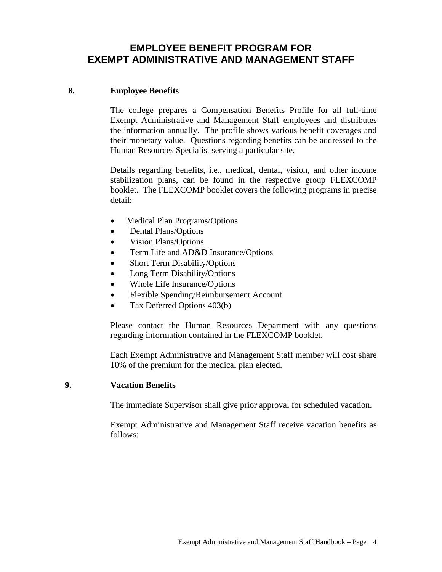# **EMPLOYEE BENEFIT PROGRAM FOR EXEMPT ADMINISTRATIVE AND MANAGEMENT STAFF**

#### **8. Employee Benefits**

The college prepares a Compensation Benefits Profile for all full-time Exempt Administrative and Management Staff employees and distributes the information annually. The profile shows various benefit coverages and their monetary value. Questions regarding benefits can be addressed to the Human Resources Specialist serving a particular site.

Details regarding benefits, i.e., medical, dental, vision, and other income stabilization plans, can be found in the respective group FLEXCOMP booklet. The FLEXCOMP booklet covers the following programs in precise detail:

- Medical Plan Programs/Options
- Dental Plans/Options
- Vision Plans/Options
- Term Life and AD&D Insurance/Options
- Short Term Disability/Options
- Long Term Disability/Options
- Whole Life Insurance/Options
- Flexible Spending/Reimbursement Account
- Tax Deferred Options 403(b)

Please contact the Human Resources Department with any questions regarding information contained in the FLEXCOMP booklet.

Each Exempt Administrative and Management Staff member will cost share 10% of the premium for the medical plan elected.

#### **9. Vacation Benefits**

The immediate Supervisor shall give prior approval for scheduled vacation.

Exempt Administrative and Management Staff receive vacation benefits as follows: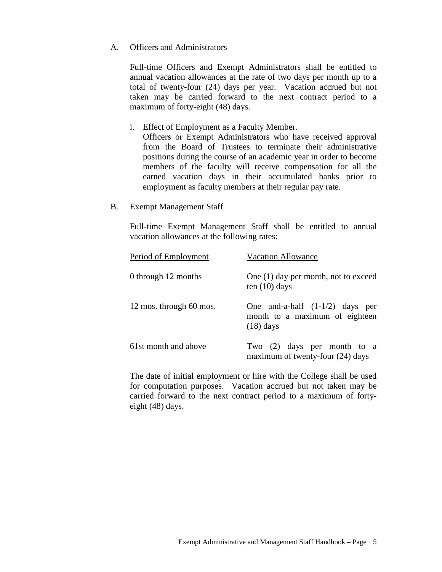#### A. Officers and Administrators

Full-time Officers and Exempt Administrators shall be entitled to annual vacation allowances at the rate of two days per month up to a total of twenty-four (24) days per year. Vacation accrued but not taken may be carried forward to the next contract period to a maximum of forty-eight (48) days.

i. Effect of Employment as a Faculty Member.

Officers or Exempt Administrators who have received approval from the Board of Trustees to terminate their administrative positions during the course of an academic year in order to become members of the faculty will receive compensation for all the earned vacation days in their accumulated banks prior to employment as faculty members at their regular pay rate.

B. Exempt Management Staff

Full-time Exempt Management Staff shall be entitled to annual vacation allowances at the following rates:

| Period of Employment    | <b>Vacation Allowance</b>                                                          |
|-------------------------|------------------------------------------------------------------------------------|
| 0 through 12 months     | One (1) day per month, not to exceed<br>ten $(10)$ days                            |
| 12 mos. through 60 mos. | One and-a-half $(1-1/2)$ days per<br>month to a maximum of eighteen<br>$(18)$ days |
| 61st month and above    | Two (2) days per month to a<br>maximum of twenty-four (24) days                    |

The date of initial employment or hire with the College shall be used for computation purposes. Vacation accrued but not taken may be carried forward to the next contract period to a maximum of fortyeight (48) days.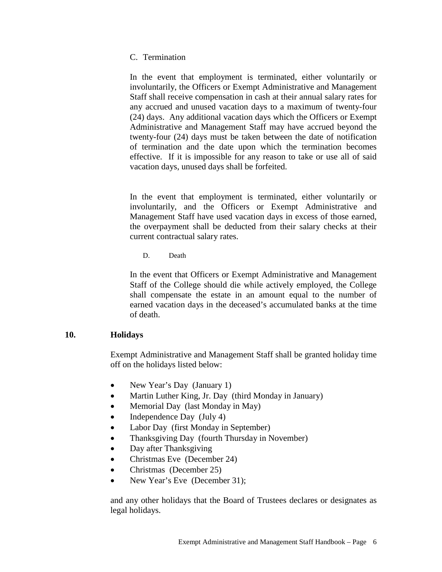#### C. Termination

In the event that employment is terminated, either voluntarily or involuntarily, the Officers or Exempt Administrative and Management Staff shall receive compensation in cash at their annual salary rates for any accrued and unused vacation days to a maximum of twenty-four (24) days. Any additional vacation days which the Officers or Exempt Administrative and Management Staff may have accrued beyond the twenty-four (24) days must be taken between the date of notification of termination and the date upon which the termination becomes effective. If it is impossible for any reason to take or use all of said vacation days, unused days shall be forfeited.

In the event that employment is terminated, either voluntarily or involuntarily, and the Officers or Exempt Administrative and Management Staff have used vacation days in excess of those earned, the overpayment shall be deducted from their salary checks at their current contractual salary rates.

D. Death

In the event that Officers or Exempt Administrative and Management Staff of the College should die while actively employed, the College shall compensate the estate in an amount equal to the number of earned vacation days in the deceased's accumulated banks at the time of death.

#### **10. Holidays**

Exempt Administrative and Management Staff shall be granted holiday time off on the holidays listed below:

- New Year's Day (January 1)
- Martin Luther King, Jr. Day (third Monday in January)
- Memorial Day (last Monday in May)
- Independence Day (July 4)
- Labor Day (first Monday in September)
- Thanksgiving Day (fourth Thursday in November)
- Day after Thanksgiving
- Christmas Eve (December 24)
- Christmas (December 25)
- New Year's Eve (December 31);

and any other holidays that the Board of Trustees declares or designates as legal holidays.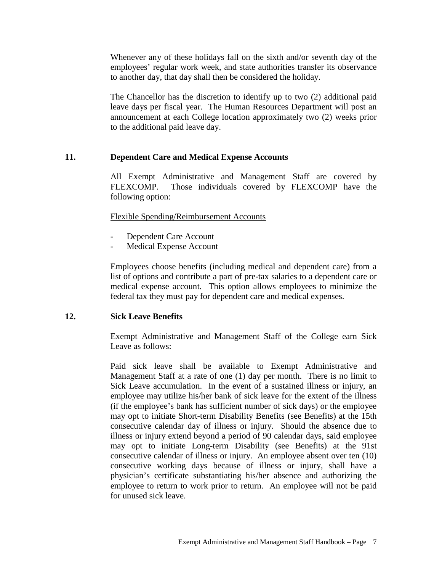Whenever any of these holidays fall on the sixth and/or seventh day of the employees' regular work week, and state authorities transfer its observance to another day, that day shall then be considered the holiday.

The Chancellor has the discretion to identify up to two (2) additional paid leave days per fiscal year. The Human Resources Department will post an announcement at each College location approximately two (2) weeks prior to the additional paid leave day.

#### **11. Dependent Care and Medical Expense Accounts**

All Exempt Administrative and Management Staff are covered by FLEXCOMP. Those individuals covered by FLEXCOMP have the following option:

#### Flexible Spending/Reimbursement Accounts

- Dependent Care Account
- Medical Expense Account

Employees choose benefits (including medical and dependent care) from a list of options and contribute a part of pre-tax salaries to a dependent care or medical expense account. This option allows employees to minimize the federal tax they must pay for dependent care and medical expenses.

#### **12. Sick Leave Benefits**

Exempt Administrative and Management Staff of the College earn Sick Leave as follows:

Paid sick leave shall be available to Exempt Administrative and Management Staff at a rate of one (1) day per month. There is no limit to Sick Leave accumulation. In the event of a sustained illness or injury, an employee may utilize his/her bank of sick leave for the extent of the illness (if the employee's bank has sufficient number of sick days) or the employee may opt to initiate Short-term Disability Benefits (see Benefits) at the 15th consecutive calendar day of illness or injury. Should the absence due to illness or injury extend beyond a period of 90 calendar days, said employee may opt to initiate Long-term Disability (see Benefits) at the 91st consecutive calendar of illness or injury. An employee absent over ten (10) consecutive working days because of illness or injury, shall have a physician's certificate substantiating his/her absence and authorizing the employee to return to work prior to return. An employee will not be paid for unused sick leave.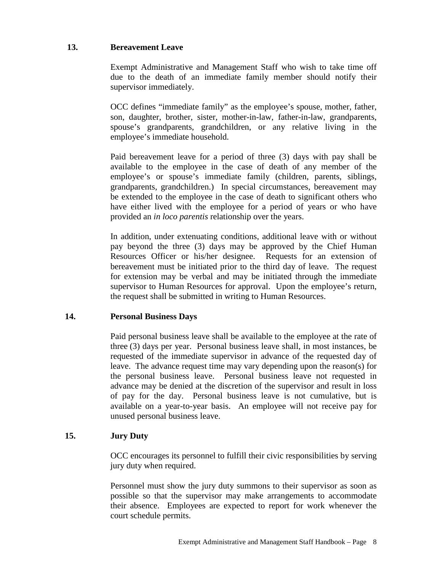### **13. Bereavement Leave**

Exempt Administrative and Management Staff who wish to take time off due to the death of an immediate family member should notify their supervisor immediately.

OCC defines "immediate family" as the employee's spouse, mother, father, son, daughter, brother, sister, mother-in-law, father-in-law, grandparents, spouse's grandparents, grandchildren, or any relative living in the employee's immediate household.

Paid bereavement leave for a period of three (3) days with pay shall be available to the employee in the case of death of any member of the employee's or spouse's immediate family (children, parents, siblings, grandparents, grandchildren.) In special circumstances, bereavement may be extended to the employee in the case of death to significant others who have either lived with the employee for a period of years or who have provided an *in loco parentis* relationship over the years.

In addition, under extenuating conditions, additional leave with or without pay beyond the three (3) days may be approved by the Chief Human Resources Officer or his/her designee. Requests for an extension of bereavement must be initiated prior to the third day of leave. The request for extension may be verbal and may be initiated through the immediate supervisor to Human Resources for approval. Upon the employee's return, the request shall be submitted in writing to Human Resources.

#### **14. Personal Business Days**

Paid personal business leave shall be available to the employee at the rate of three (3) days per year. Personal business leave shall, in most instances, be requested of the immediate supervisor in advance of the requested day of leave. The advance request time may vary depending upon the reason(s) for the personal business leave. Personal business leave not requested in advance may be denied at the discretion of the supervisor and result in loss of pay for the day. Personal business leave is not cumulative, but is available on a year-to-year basis. An employee will not receive pay for unused personal business leave.

#### **15. Jury Duty**

OCC encourages its personnel to fulfill their civic responsibilities by serving jury duty when required.

Personnel must show the jury duty summons to their supervisor as soon as possible so that the supervisor may make arrangements to accommodate their absence. Employees are expected to report for work whenever the court schedule permits.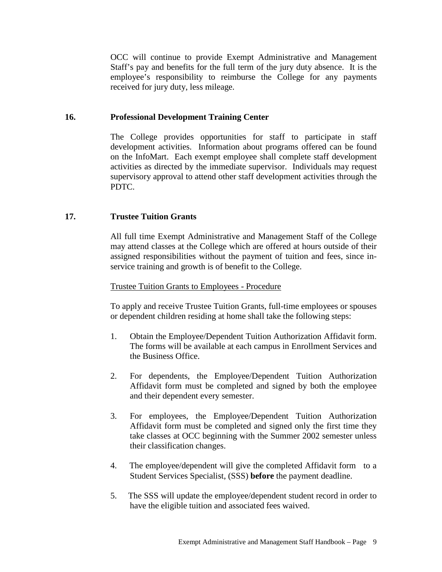OCC will continue to provide Exempt Administrative and Management Staff's pay and benefits for the full term of the jury duty absence. It is the employee's responsibility to reimburse the College for any payments received for jury duty, less mileage.

#### **16. Professional Development Training Center**

The College provides opportunities for staff to participate in staff development activities. Information about programs offered can be found on the InfoMart. Each exempt employee shall complete staff development activities as directed by the immediate supervisor. Individuals may request supervisory approval to attend other staff development activities through the PDTC.

#### **17. Trustee Tuition Grants**

All full time Exempt Administrative and Management Staff of the College may attend classes at the College which are offered at hours outside of their assigned responsibilities without the payment of tuition and fees, since inservice training and growth is of benefit to the College.

#### Trustee Tuition Grants to Employees - Procedure

To apply and receive Trustee Tuition Grants, full-time employees or spouses or dependent children residing at home shall take the following steps:

- 1. Obtain the Employee/Dependent Tuition Authorization Affidavit form. The forms will be available at each campus in Enrollment Services and the Business Office.
- 2. For dependents, the Employee/Dependent Tuition Authorization Affidavit form must be completed and signed by both the employee and their dependent every semester.
- 3. For employees, the Employee/Dependent Tuition Authorization Affidavit form must be completed and signed only the first time they take classes at OCC beginning with the Summer 2002 semester unless their classification changes.
- 4. The employee/dependent will give the completed Affidavit form to a Student Services Specialist, (SSS) **before** the payment deadline.
- 5. The SSS will update the employee/dependent student record in order to have the eligible tuition and associated fees waived.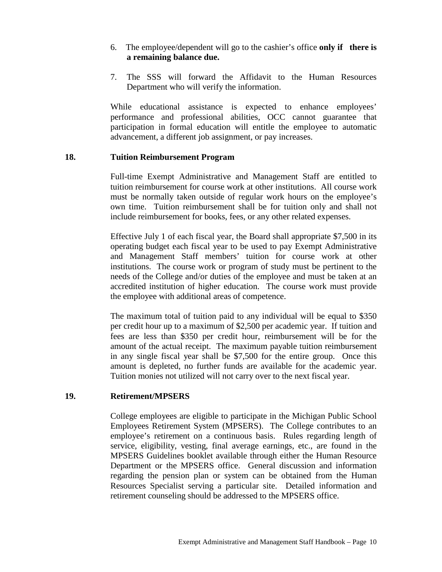- 6. The employee/dependent will go to the cashier's office **only if there is a remaining balance due.**
- 7. The SSS will forward the Affidavit to the Human Resources Department who will verify the information.

While educational assistance is expected to enhance employees' performance and professional abilities, OCC cannot guarantee that participation in formal education will entitle the employee to automatic advancement, a different job assignment, or pay increases.

#### **18. Tuition Reimbursement Program**

Full-time Exempt Administrative and Management Staff are entitled to tuition reimbursement for course work at other institutions. All course work must be normally taken outside of regular work hours on the employee's own time. Tuition reimbursement shall be for tuition only and shall not include reimbursement for books, fees, or any other related expenses.

Effective July 1 of each fiscal year, the Board shall appropriate \$7,500 in its operating budget each fiscal year to be used to pay Exempt Administrative and Management Staff members' tuition for course work at other institutions. The course work or program of study must be pertinent to the needs of the College and/or duties of the employee and must be taken at an accredited institution of higher education. The course work must provide the employee with additional areas of competence.

The maximum total of tuition paid to any individual will be equal to \$350 per credit hour up to a maximum of \$2,500 per academic year. If tuition and fees are less than \$350 per credit hour, reimbursement will be for the amount of the actual receipt. The maximum payable tuition reimbursement in any single fiscal year shall be \$7,500 for the entire group. Once this amount is depleted, no further funds are available for the academic year. Tuition monies not utilized will not carry over to the next fiscal year.

#### **19. Retirement/MPSERS**

College employees are eligible to participate in the Michigan Public School Employees Retirement System (MPSERS). The College contributes to an employee's retirement on a continuous basis. Rules regarding length of service, eligibility, vesting, final average earnings, etc., are found in the MPSERS Guidelines booklet available through either the Human Resource Department or the MPSERS office. General discussion and information regarding the pension plan or system can be obtained from the Human Resources Specialist serving a particular site. Detailed information and retirement counseling should be addressed to the MPSERS office.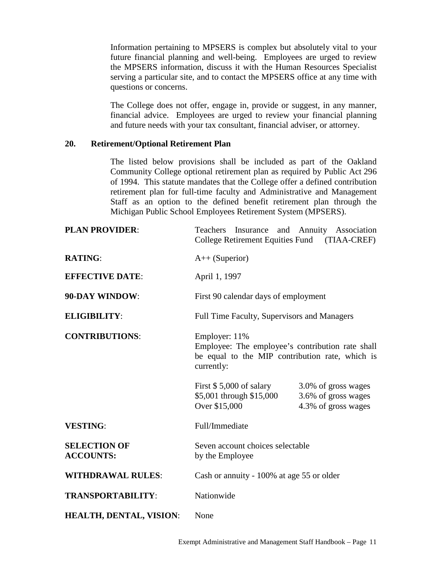Information pertaining to MPSERS is complex but absolutely vital to your future financial planning and well-being. Employees are urged to review the MPSERS information, discuss it with the Human Resources Specialist serving a particular site, and to contact the MPSERS office at any time with questions or concerns.

The College does not offer, engage in, provide or suggest, in any manner, financial advice. Employees are urged to review your financial planning and future needs with your tax consultant, financial adviser, or attorney.

#### **20. Retirement/Optional Retirement Plan**

The listed below provisions shall be included as part of the Oakland Community College optional retirement plan as required by Public Act 296 of 1994. This statute mandates that the College offer a defined contribution retirement plan for full-time faculty and Administrative and Management Staff as an option to the defined benefit retirement plan through the Michigan Public School Employees Retirement System (MPSERS).

| <b>PLAN PROVIDER:</b>                   | Teachers Insurance and Annuity Association<br>College Retirement Equities Fund (TIAA-CREF)                                         |                                                                   |
|-----------------------------------------|------------------------------------------------------------------------------------------------------------------------------------|-------------------------------------------------------------------|
| <b>RATING:</b>                          | $A++$ (Superior)                                                                                                                   |                                                                   |
| <b>EFFECTIVE DATE:</b>                  | April 1, 1997                                                                                                                      |                                                                   |
| 90-DAY WINDOW:                          | First 90 calendar days of employment                                                                                               |                                                                   |
| <b>ELIGIBILITY:</b>                     | Full Time Faculty, Supervisors and Managers                                                                                        |                                                                   |
| <b>CONTRIBUTIONS:</b>                   | Employer: 11%<br>Employee: The employee's contribution rate shall<br>be equal to the MIP contribution rate, which is<br>currently: |                                                                   |
|                                         | First $$5,000$ of salary<br>\$5,001 through \$15,000<br>Over \$15,000                                                              | 3.0% of gross wages<br>3.6% of gross wages<br>4.3% of gross wages |
| <b>VESTING:</b>                         | Full/Immediate                                                                                                                     |                                                                   |
| <b>SELECTION OF</b><br><b>ACCOUNTS:</b> | Seven account choices selectable<br>by the Employee                                                                                |                                                                   |
| <b>WITHDRAWAL RULES:</b>                | Cash or annuity - 100% at age 55 or older                                                                                          |                                                                   |
| <b>TRANSPORTABILITY:</b>                | Nationwide                                                                                                                         |                                                                   |
| <b>HEALTH, DENTAL, VISION:</b>          | None                                                                                                                               |                                                                   |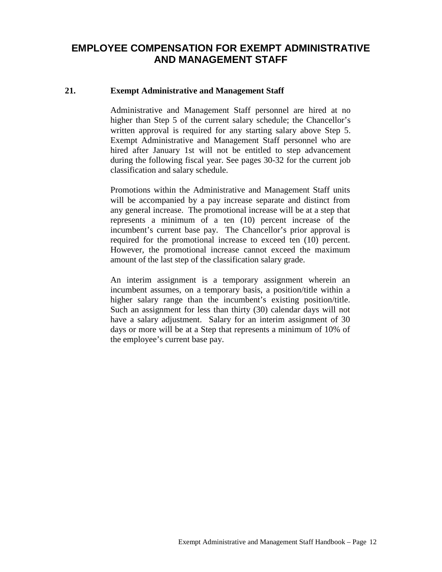# **EMPLOYEE COMPENSATION FOR EXEMPT ADMINISTRATIVE AND MANAGEMENT STAFF**

#### **21. Exempt Administrative and Management Staff**

Administrative and Management Staff personnel are hired at no higher than Step 5 of the current salary schedule; the Chancellor's written approval is required for any starting salary above Step 5. Exempt Administrative and Management Staff personnel who are hired after January 1st will not be entitled to step advancement during the following fiscal year. See pages 30-32 for the current job classification and salary schedule.

Promotions within the Administrative and Management Staff units will be accompanied by a pay increase separate and distinct from any general increase. The promotional increase will be at a step that represents a minimum of a ten (10) percent increase of the incumbent's current base pay. The Chancellor's prior approval is required for the promotional increase to exceed ten (10) percent. However, the promotional increase cannot exceed the maximum amount of the last step of the classification salary grade.

An interim assignment is a temporary assignment wherein an incumbent assumes, on a temporary basis, a position/title within a higher salary range than the incumbent's existing position/title. Such an assignment for less than thirty (30) calendar days will not have a salary adjustment. Salary for an interim assignment of 30 days or more will be at a Step that represents a minimum of 10% of the employee's current base pay.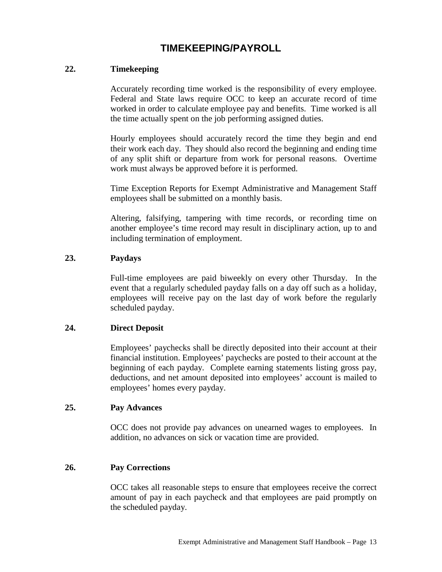# **TIMEKEEPING/PAYROLL**

#### **22. Timekeeping**

Accurately recording time worked is the responsibility of every employee. Federal and State laws require OCC to keep an accurate record of time worked in order to calculate employee pay and benefits. Time worked is all the time actually spent on the job performing assigned duties.

Hourly employees should accurately record the time they begin and end their work each day. They should also record the beginning and ending time of any split shift or departure from work for personal reasons. Overtime work must always be approved before it is performed.

Time Exception Reports for Exempt Administrative and Management Staff employees shall be submitted on a monthly basis.

Altering, falsifying, tampering with time records, or recording time on another employee's time record may result in disciplinary action, up to and including termination of employment.

#### **23. Paydays**

Full-time employees are paid biweekly on every other Thursday. In the event that a regularly scheduled payday falls on a day off such as a holiday, employees will receive pay on the last day of work before the regularly scheduled payday.

#### **24. Direct Deposit**

Employees' paychecks shall be directly deposited into their account at their financial institution. Employees' paychecks are posted to their account at the beginning of each payday. Complete earning statements listing gross pay, deductions, and net amount deposited into employees' account is mailed to employees' homes every payday.

#### **25. Pay Advances**

OCC does not provide pay advances on unearned wages to employees. In addition, no advances on sick or vacation time are provided.

#### **26. Pay Corrections**

OCC takes all reasonable steps to ensure that employees receive the correct amount of pay in each paycheck and that employees are paid promptly on the scheduled payday.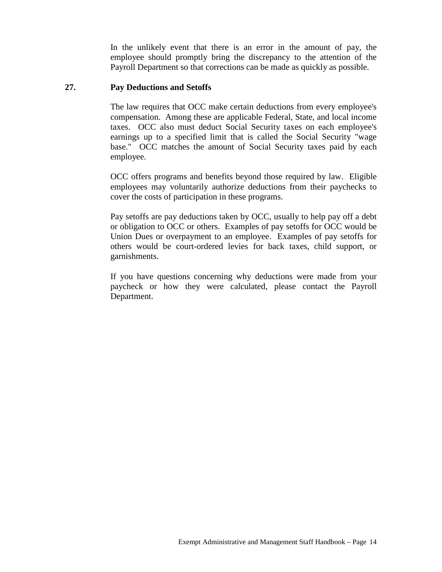In the unlikely event that there is an error in the amount of pay, the employee should promptly bring the discrepancy to the attention of the Payroll Department so that corrections can be made as quickly as possible.

#### **27. Pay Deductions and Setoffs**

The law requires that OCC make certain deductions from every employee's compensation. Among these are applicable Federal, State, and local income taxes. OCC also must deduct Social Security taxes on each employee's earnings up to a specified limit that is called the Social Security "wage base." OCC matches the amount of Social Security taxes paid by each employee.

OCC offers programs and benefits beyond those required by law. Eligible employees may voluntarily authorize deductions from their paychecks to cover the costs of participation in these programs.

Pay setoffs are pay deductions taken by OCC, usually to help pay off a debt or obligation to OCC or others. Examples of pay setoffs for OCC would be Union Dues or overpayment to an employee. Examples of pay setoffs for others would be court-ordered levies for back taxes, child support, or garnishments.

If you have questions concerning why deductions were made from your paycheck or how they were calculated, please contact the Payroll Department.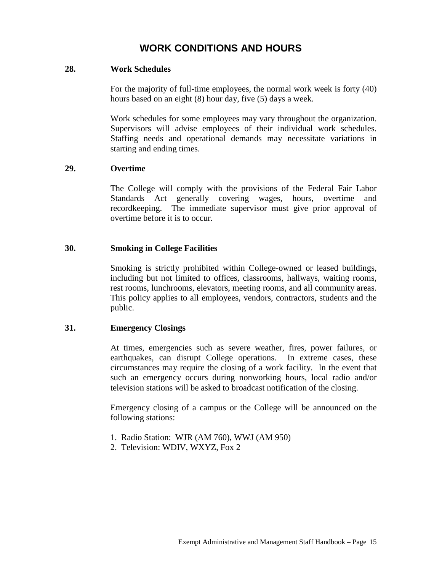# **WORK CONDITIONS AND HOURS**

#### **28. Work Schedules**

For the majority of full-time employees, the normal work week is forty (40) hours based on an eight (8) hour day, five (5) days a week.

Work schedules for some employees may vary throughout the organization. Supervisors will advise employees of their individual work schedules. Staffing needs and operational demands may necessitate variations in starting and ending times.

#### **29. Overtime**

The College will comply with the provisions of the Federal Fair Labor Standards Act generally covering wages, hours, overtime and recordkeeping. The immediate supervisor must give prior approval of overtime before it is to occur.

#### **30. Smoking in College Facilities**

Smoking is strictly prohibited within College-owned or leased buildings, including but not limited to offices, classrooms, hallways, waiting rooms, rest rooms, lunchrooms, elevators, meeting rooms, and all community areas. This policy applies to all employees, vendors, contractors, students and the public.

#### **31. Emergency Closings**

At times, emergencies such as severe weather, fires, power failures, or earthquakes, can disrupt College operations. In extreme cases, these circumstances may require the closing of a work facility. In the event that such an emergency occurs during nonworking hours, local radio and/or television stations will be asked to broadcast notification of the closing.

Emergency closing of a campus or the College will be announced on the following stations:

- 1. Radio Station: WJR (AM 760), WWJ (AM 950)
- 2. Television: WDIV, WXYZ, Fox 2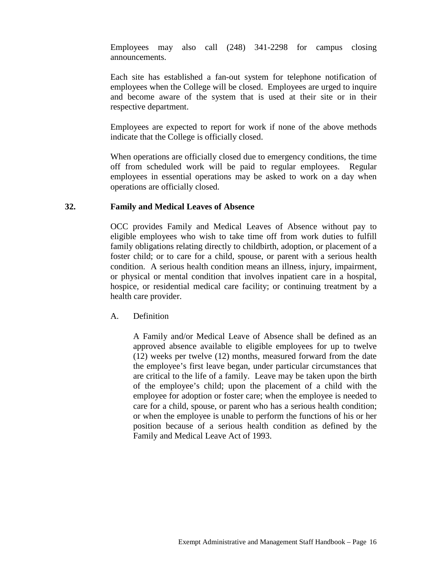Employees may also call (248) 341-2298 for campus closing announcements.

Each site has established a fan-out system for telephone notification of employees when the College will be closed. Employees are urged to inquire and become aware of the system that is used at their site or in their respective department.

Employees are expected to report for work if none of the above methods indicate that the College is officially closed.

When operations are officially closed due to emergency conditions, the time off from scheduled work will be paid to regular employees. Regular employees in essential operations may be asked to work on a day when operations are officially closed.

#### **32. Family and Medical Leaves of Absence**

OCC provides Family and Medical Leaves of Absence without pay to eligible employees who wish to take time off from work duties to fulfill family obligations relating directly to childbirth, adoption, or placement of a foster child; or to care for a child, spouse, or parent with a serious health condition. A serious health condition means an illness, injury, impairment, or physical or mental condition that involves inpatient care in a hospital, hospice, or residential medical care facility; or continuing treatment by a health care provider.

A. Definition

A Family and/or Medical Leave of Absence shall be defined as an approved absence available to eligible employees for up to twelve (12) weeks per twelve (12) months, measured forward from the date the employee's first leave began, under particular circumstances that are critical to the life of a family. Leave may be taken upon the birth of the employee's child; upon the placement of a child with the employee for adoption or foster care; when the employee is needed to care for a child, spouse, or parent who has a serious health condition; or when the employee is unable to perform the functions of his or her position because of a serious health condition as defined by the Family and Medical Leave Act of 1993.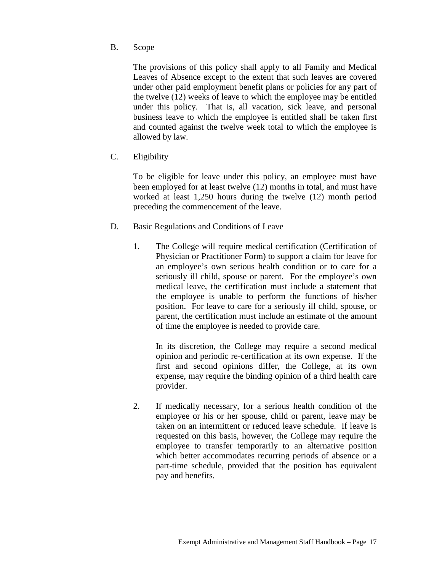B. Scope

The provisions of this policy shall apply to all Family and Medical Leaves of Absence except to the extent that such leaves are covered under other paid employment benefit plans or policies for any part of the twelve (12) weeks of leave to which the employee may be entitled under this policy. That is, all vacation, sick leave, and personal business leave to which the employee is entitled shall be taken first and counted against the twelve week total to which the employee is allowed by law.

C. Eligibility

To be eligible for leave under this policy, an employee must have been employed for at least twelve (12) months in total, and must have worked at least 1,250 hours during the twelve (12) month period preceding the commencement of the leave.

- D. Basic Regulations and Conditions of Leave
	- 1. The College will require medical certification (Certification of Physician or Practitioner Form) to support a claim for leave for an employee's own serious health condition or to care for a seriously ill child, spouse or parent. For the employee's own medical leave, the certification must include a statement that the employee is unable to perform the functions of his/her position. For leave to care for a seriously ill child, spouse, or parent, the certification must include an estimate of the amount of time the employee is needed to provide care.

In its discretion, the College may require a second medical opinion and periodic re-certification at its own expense. If the first and second opinions differ, the College, at its own expense, may require the binding opinion of a third health care provider.

2. If medically necessary, for a serious health condition of the employee or his or her spouse, child or parent, leave may be taken on an intermittent or reduced leave schedule. If leave is requested on this basis, however, the College may require the employee to transfer temporarily to an alternative position which better accommodates recurring periods of absence or a part-time schedule, provided that the position has equivalent pay and benefits.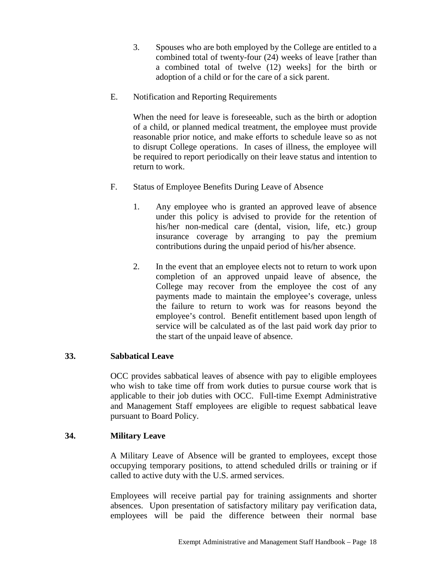- 3. Spouses who are both employed by the College are entitled to a combined total of twenty-four (24) weeks of leave [rather than a combined total of twelve (12) weeks] for the birth or adoption of a child or for the care of a sick parent.
- E. Notification and Reporting Requirements

When the need for leave is foreseeable, such as the birth or adoption of a child, or planned medical treatment, the employee must provide reasonable prior notice, and make efforts to schedule leave so as not to disrupt College operations. In cases of illness, the employee will be required to report periodically on their leave status and intention to return to work.

- F. Status of Employee Benefits During Leave of Absence
	- 1. Any employee who is granted an approved leave of absence under this policy is advised to provide for the retention of his/her non-medical care (dental, vision, life, etc.) group insurance coverage by arranging to pay the premium contributions during the unpaid period of his/her absence.
	- 2. In the event that an employee elects not to return to work upon completion of an approved unpaid leave of absence, the College may recover from the employee the cost of any payments made to maintain the employee's coverage, unless the failure to return to work was for reasons beyond the employee's control. Benefit entitlement based upon length of service will be calculated as of the last paid work day prior to the start of the unpaid leave of absence.

# **33. Sabbatical Leave**

OCC provides sabbatical leaves of absence with pay to eligible employees who wish to take time off from work duties to pursue course work that is applicable to their job duties with OCC. Full-time Exempt Administrative and Management Staff employees are eligible to request sabbatical leave pursuant to Board Policy.

# **34. Military Leave**

A Military Leave of Absence will be granted to employees, except those occupying temporary positions, to attend scheduled drills or training or if called to active duty with the U.S. armed services.

Employees will receive partial pay for training assignments and shorter absences. Upon presentation of satisfactory military pay verification data, employees will be paid the difference between their normal base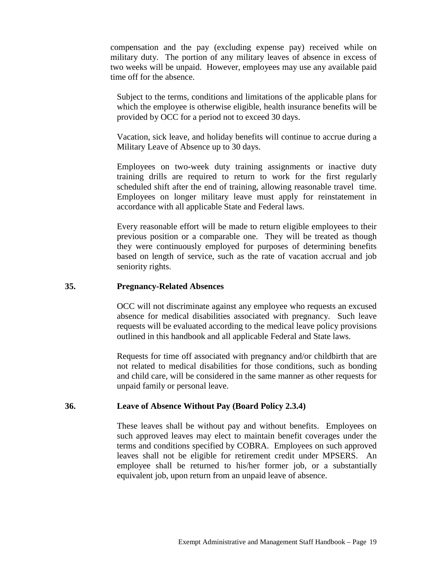compensation and the pay (excluding expense pay) received while on military duty. The portion of any military leaves of absence in excess of two weeks will be unpaid. However, employees may use any available paid time off for the absence.

Subject to the terms, conditions and limitations of the applicable plans for which the employee is otherwise eligible, health insurance benefits will be provided by OCC for a period not to exceed 30 days.

Vacation, sick leave, and holiday benefits will continue to accrue during a Military Leave of Absence up to 30 days.

Employees on two-week duty training assignments or inactive duty training drills are required to return to work for the first regularly scheduled shift after the end of training, allowing reasonable travel time. Employees on longer military leave must apply for reinstatement in accordance with all applicable State and Federal laws.

Every reasonable effort will be made to return eligible employees to their previous position or a comparable one. They will be treated as though they were continuously employed for purposes of determining benefits based on length of service, such as the rate of vacation accrual and job seniority rights.

#### **35. Pregnancy-Related Absences**

OCC will not discriminate against any employee who requests an excused absence for medical disabilities associated with pregnancy. Such leave requests will be evaluated according to the medical leave policy provisions outlined in this handbook and all applicable Federal and State laws.

Requests for time off associated with pregnancy and/or childbirth that are not related to medical disabilities for those conditions, such as bonding and child care, will be considered in the same manner as other requests for unpaid family or personal leave.

#### **36. Leave of Absence Without Pay (Board Policy 2.3.4)**

These leaves shall be without pay and without benefits. Employees on such approved leaves may elect to maintain benefit coverages under the terms and conditions specified by COBRA. Employees on such approved leaves shall not be eligible for retirement credit under MPSERS. An employee shall be returned to his/her former job, or a substantially equivalent job, upon return from an unpaid leave of absence.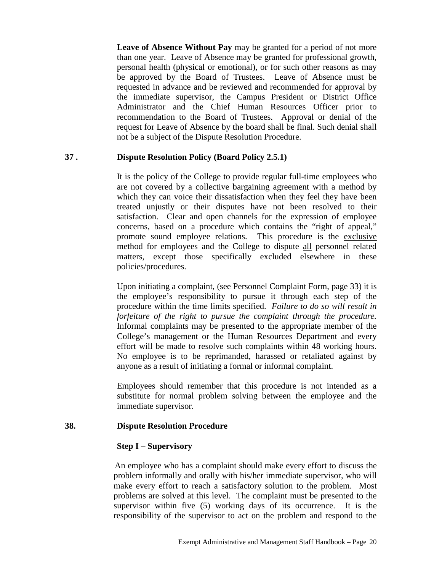**Leave of Absence Without Pay** may be granted for a period of not more than one year. Leave of Absence may be granted for professional growth, personal health (physical or emotional), or for such other reasons as may be approved by the Board of Trustees. Leave of Absence must be requested in advance and be reviewed and recommended for approval by the immediate supervisor, the Campus President or District Office Administrator and the Chief Human Resources Officer prior to recommendation to the Board of Trustees. Approval or denial of the request for Leave of Absence by the board shall be final. Such denial shall not be a subject of the Dispute Resolution Procedure.

#### **37 . Dispute Resolution Policy (Board Policy 2.5.1)**

It is the policy of the College to provide regular full-time employees who are not covered by a collective bargaining agreement with a method by which they can voice their dissatisfaction when they feel they have been treated unjustly or their disputes have not been resolved to their satisfaction. Clear and open channels for the expression of employee concerns, based on a procedure which contains the "right of appeal," promote sound employee relations. This procedure is the exclusive method for employees and the College to dispute all personnel related matters, except those specifically excluded elsewhere in these policies/procedures.

Upon initiating a complaint, (see Personnel Complaint Form, page 33) it is the employee's responsibility to pursue it through each step of the procedure within the time limits specified. *Failure to do so will result in forfeiture of the right to pursue the complaint through the procedure.* Informal complaints may be presented to the appropriate member of the College's management or the Human Resources Department and every effort will be made to resolve such complaints within 48 working hours. No employee is to be reprimanded, harassed or retaliated against by anyone as a result of initiating a formal or informal complaint.

Employees should remember that this procedure is not intended as a substitute for normal problem solving between the employee and the immediate supervisor.

#### **38. Dispute Resolution Procedure**

#### **Step I – Supervisory**

 An employee who has a complaint should make every effort to discuss the problem informally and orally with his/her immediate supervisor, who will make every effort to reach a satisfactory solution to the problem. Most problems are solved at this level. The complaint must be presented to the supervisor within five (5) working days of its occurrence. It is the responsibility of the supervisor to act on the problem and respond to the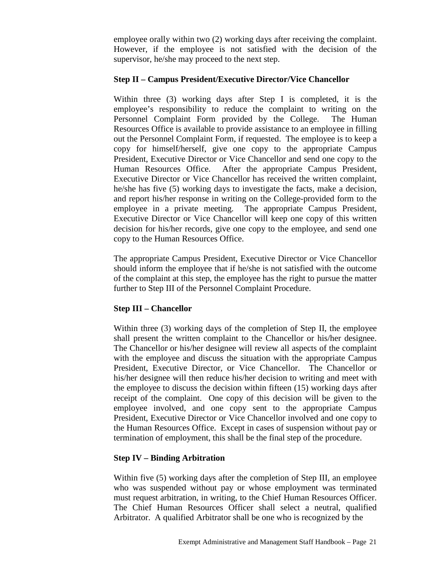employee orally within two (2) working days after receiving the complaint. However, if the employee is not satisfied with the decision of the supervisor, he/she may proceed to the next step.

#### **Step II – Campus President/Executive Director/Vice Chancellor**

Within three (3) working days after Step I is completed, it is the employee's responsibility to reduce the complaint to writing on the Personnel Complaint Form provided by the College. The Human Resources Office is available to provide assistance to an employee in filling out the Personnel Complaint Form, if requested. The employee is to keep a copy for himself/herself, give one copy to the appropriate Campus President, Executive Director or Vice Chancellor and send one copy to the Human Resources Office. After the appropriate Campus President, Executive Director or Vice Chancellor has received the written complaint, he/she has five (5) working days to investigate the facts, make a decision, and report his/her response in writing on the College-provided form to the employee in a private meeting. The appropriate Campus President, Executive Director or Vice Chancellor will keep one copy of this written decision for his/her records, give one copy to the employee, and send one copy to the Human Resources Office.

The appropriate Campus President, Executive Director or Vice Chancellor should inform the employee that if he/she is not satisfied with the outcome of the complaint at this step, the employee has the right to pursue the matter further to Step III of the Personnel Complaint Procedure.

# **Step III – Chancellor**

Within three (3) working days of the completion of Step II, the employee shall present the written complaint to the Chancellor or his/her designee. The Chancellor or his/her designee will review all aspects of the complaint with the employee and discuss the situation with the appropriate Campus President, Executive Director, or Vice Chancellor. The Chancellor or his/her designee will then reduce his/her decision to writing and meet with the employee to discuss the decision within fifteen (15) working days after receipt of the complaint. One copy of this decision will be given to the employee involved, and one copy sent to the appropriate Campus President, Executive Director or Vice Chancellor involved and one copy to the Human Resources Office. Except in cases of suspension without pay or termination of employment, this shall be the final step of the procedure.

# **Step IV – Binding Arbitration**

Within five (5) working days after the completion of Step III, an employee who was suspended without pay or whose employment was terminated must request arbitration, in writing, to the Chief Human Resources Officer. The Chief Human Resources Officer shall select a neutral, qualified Arbitrator. A qualified Arbitrator shall be one who is recognized by the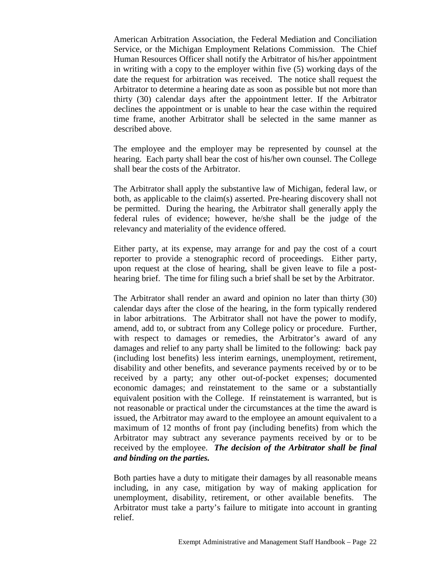American Arbitration Association, the Federal Mediation and Conciliation Service, or the Michigan Employment Relations Commission. The Chief Human Resources Officer shall notify the Arbitrator of his/her appointment in writing with a copy to the employer within five (5) working days of the date the request for arbitration was received. The notice shall request the Arbitrator to determine a hearing date as soon as possible but not more than thirty (30) calendar days after the appointment letter. If the Arbitrator declines the appointment or is unable to hear the case within the required time frame, another Arbitrator shall be selected in the same manner as described above.

The employee and the employer may be represented by counsel at the hearing. Each party shall bear the cost of his/her own counsel. The College shall bear the costs of the Arbitrator.

The Arbitrator shall apply the substantive law of Michigan, federal law, or both, as applicable to the claim(s) asserted. Pre-hearing discovery shall not be permitted. During the hearing, the Arbitrator shall generally apply the federal rules of evidence; however, he/she shall be the judge of the relevancy and materiality of the evidence offered.

Either party, at its expense, may arrange for and pay the cost of a court reporter to provide a stenographic record of proceedings. Either party, upon request at the close of hearing, shall be given leave to file a posthearing brief. The time for filing such a brief shall be set by the Arbitrator.

The Arbitrator shall render an award and opinion no later than thirty (30) calendar days after the close of the hearing, in the form typically rendered in labor arbitrations. The Arbitrator shall not have the power to modify, amend, add to, or subtract from any College policy or procedure. Further, with respect to damages or remedies, the Arbitrator's award of any damages and relief to any party shall be limited to the following: back pay (including lost benefits) less interim earnings, unemployment, retirement, disability and other benefits, and severance payments received by or to be received by a party; any other out-of-pocket expenses; documented economic damages; and reinstatement to the same or a substantially equivalent position with the College. If reinstatement is warranted, but is not reasonable or practical under the circumstances at the time the award is issued, the Arbitrator may award to the employee an amount equivalent to a maximum of 12 months of front pay (including benefits) from which the Arbitrator may subtract any severance payments received by or to be received by the employee. *The decision of the Arbitrator shall be final and binding on the parties.*

Both parties have a duty to mitigate their damages by all reasonable means including, in any case, mitigation by way of making application for unemployment, disability, retirement, or other available benefits. The Arbitrator must take a party's failure to mitigate into account in granting relief.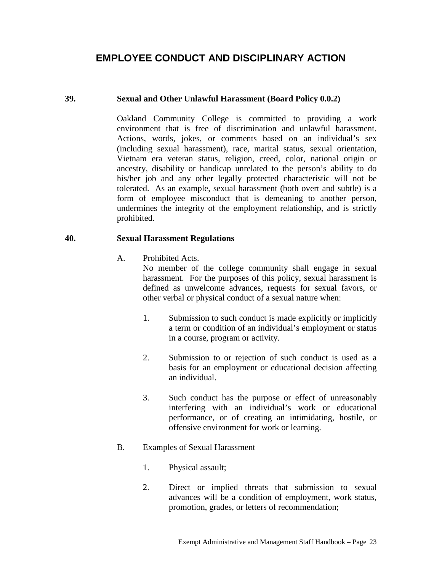# **EMPLOYEE CONDUCT AND DISCIPLINARY ACTION**

#### **39. Sexual and Other Unlawful Harassment (Board Policy 0.0.2)**

Oakland Community College is committed to providing a work environment that is free of discrimination and unlawful harassment. Actions, words, jokes, or comments based on an individual's sex (including sexual harassment), race, marital status, sexual orientation, Vietnam era veteran status, religion, creed, color, national origin or ancestry, disability or handicap unrelated to the person's ability to do his/her job and any other legally protected characteristic will not be tolerated. As an example, sexual harassment (both overt and subtle) is a form of employee misconduct that is demeaning to another person, undermines the integrity of the employment relationship, and is strictly prohibited.

#### **40. Sexual Harassment Regulations**

A. Prohibited Acts.

No member of the college community shall engage in sexual harassment. For the purposes of this policy, sexual harassment is defined as unwelcome advances, requests for sexual favors, or other verbal or physical conduct of a sexual nature when:

- 1. Submission to such conduct is made explicitly or implicitly a term or condition of an individual's employment or status in a course, program or activity.
- 2. Submission to or rejection of such conduct is used as a basis for an employment or educational decision affecting an individual.
- 3. Such conduct has the purpose or effect of unreasonably interfering with an individual's work or educational performance, or of creating an intimidating, hostile, or offensive environment for work or learning.
- B. Examples of Sexual Harassment
	- 1. Physical assault;
	- 2. Direct or implied threats that submission to sexual advances will be a condition of employment, work status, promotion, grades, or letters of recommendation;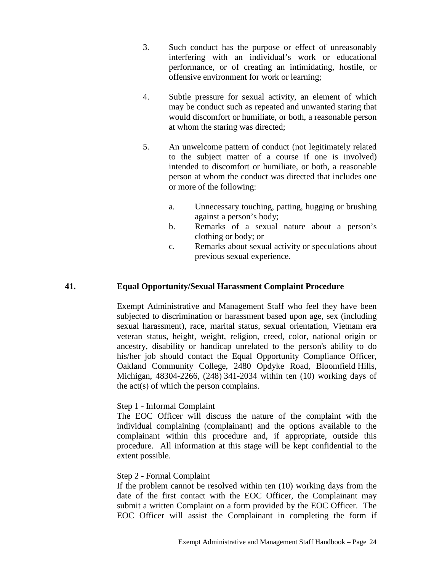- 3. Such conduct has the purpose or effect of unreasonably interfering with an individual's work or educational performance, or of creating an intimidating, hostile, or offensive environment for work or learning;
- 4. Subtle pressure for sexual activity, an element of which may be conduct such as repeated and unwanted staring that would discomfort or humiliate, or both, a reasonable person at whom the staring was directed;
- 5. An unwelcome pattern of conduct (not legitimately related to the subject matter of a course if one is involved) intended to discomfort or humiliate, or both, a reasonable person at whom the conduct was directed that includes one or more of the following:
	- a. Unnecessary touching, patting, hugging or brushing against a person's body;
	- b. Remarks of a sexual nature about a person's clothing or body; or
	- c. Remarks about sexual activity or speculations about previous sexual experience.

### **41. Equal Opportunity/Sexual Harassment Complaint Procedure**

Exempt Administrative and Management Staff who feel they have been subjected to discrimination or harassment based upon age, sex (including sexual harassment), race, marital status, sexual orientation, Vietnam era veteran status, height, weight, religion, creed, color, national origin or ancestry, disability or handicap unrelated to the person's ability to do his/her job should contact the Equal Opportunity Compliance Officer, Oakland Community College, 2480 Opdyke Road, Bloomfield Hills, Michigan, 48304-2266, (248) 341-2034 within ten (10) working days of the act(s) of which the person complains.

#### Step 1 - Informal Complaint

The EOC Officer will discuss the nature of the complaint with the individual complaining (complainant) and the options available to the complainant within this procedure and, if appropriate, outside this procedure. All information at this stage will be kept confidential to the extent possible.

#### Step 2 - Formal Complaint

If the problem cannot be resolved within ten (10) working days from the date of the first contact with the EOC Officer, the Complainant may submit a written Complaint on a form provided by the EOC Officer. The EOC Officer will assist the Complainant in completing the form if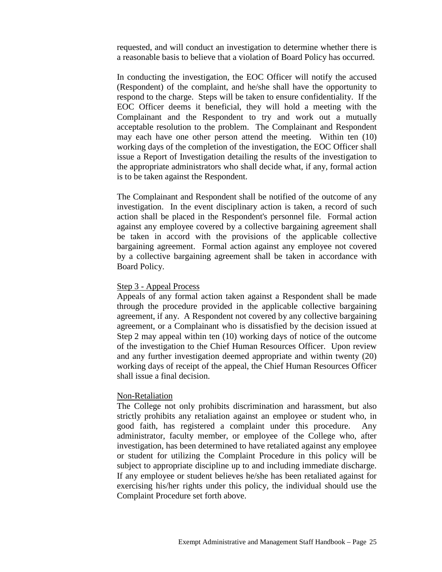requested, and will conduct an investigation to determine whether there is a reasonable basis to believe that a violation of Board Policy has occurred.

In conducting the investigation, the EOC Officer will notify the accused (Respondent) of the complaint, and he/she shall have the opportunity to respond to the charge. Steps will be taken to ensure confidentiality. If the EOC Officer deems it beneficial, they will hold a meeting with the Complainant and the Respondent to try and work out a mutually acceptable resolution to the problem. The Complainant and Respondent may each have one other person attend the meeting. Within ten (10) working days of the completion of the investigation, the EOC Officer shall issue a Report of Investigation detailing the results of the investigation to the appropriate administrators who shall decide what, if any, formal action is to be taken against the Respondent.

The Complainant and Respondent shall be notified of the outcome of any investigation. In the event disciplinary action is taken, a record of such action shall be placed in the Respondent's personnel file. Formal action against any employee covered by a collective bargaining agreement shall be taken in accord with the provisions of the applicable collective bargaining agreement. Formal action against any employee not covered by a collective bargaining agreement shall be taken in accordance with Board Policy.

#### Step 3 - Appeal Process

Appeals of any formal action taken against a Respondent shall be made through the procedure provided in the applicable collective bargaining agreement, if any. A Respondent not covered by any collective bargaining agreement, or a Complainant who is dissatisfied by the decision issued at Step 2 may appeal within ten (10) working days of notice of the outcome of the investigation to the Chief Human Resources Officer. Upon review and any further investigation deemed appropriate and within twenty (20) working days of receipt of the appeal, the Chief Human Resources Officer shall issue a final decision.

#### Non-Retaliation

The College not only prohibits discrimination and harassment, but also strictly prohibits any retaliation against an employee or student who, in good faith, has registered a complaint under this procedure. Any administrator, faculty member, or employee of the College who, after investigation, has been determined to have retaliated against any employee or student for utilizing the Complaint Procedure in this policy will be subject to appropriate discipline up to and including immediate discharge. If any employee or student believes he/she has been retaliated against for exercising his/her rights under this policy, the individual should use the Complaint Procedure set forth above.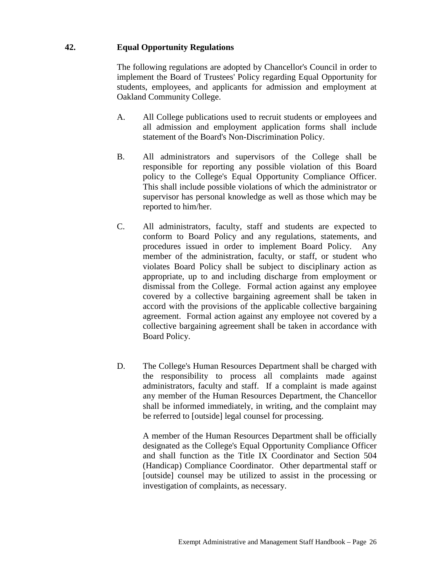# **42. Equal Opportunity Regulations**

The following regulations are adopted by Chancellor's Council in order to implement the Board of Trustees' Policy regarding Equal Opportunity for students, employees, and applicants for admission and employment at Oakland Community College.

- A. All College publications used to recruit students or employees and all admission and employment application forms shall include statement of the Board's Non-Discrimination Policy.
- B. All administrators and supervisors of the College shall be responsible for reporting any possible violation of this Board policy to the College's Equal Opportunity Compliance Officer. This shall include possible violations of which the administrator or supervisor has personal knowledge as well as those which may be reported to him/her.
- C. All administrators, faculty, staff and students are expected to conform to Board Policy and any regulations, statements, and procedures issued in order to implement Board Policy. Any member of the administration, faculty, or staff, or student who violates Board Policy shall be subject to disciplinary action as appropriate, up to and including discharge from employment or dismissal from the College. Formal action against any employee covered by a collective bargaining agreement shall be taken in accord with the provisions of the applicable collective bargaining agreement. Formal action against any employee not covered by a collective bargaining agreement shall be taken in accordance with Board Policy.
- D. The College's Human Resources Department shall be charged with the responsibility to process all complaints made against administrators, faculty and staff. If a complaint is made against any member of the Human Resources Department, the Chancellor shall be informed immediately, in writing, and the complaint may be referred to [outside] legal counsel for processing.

A member of the Human Resources Department shall be officially designated as the College's Equal Opportunity Compliance Officer and shall function as the Title IX Coordinator and Section 504 (Handicap) Compliance Coordinator. Other departmental staff or [outside] counsel may be utilized to assist in the processing or investigation of complaints, as necessary.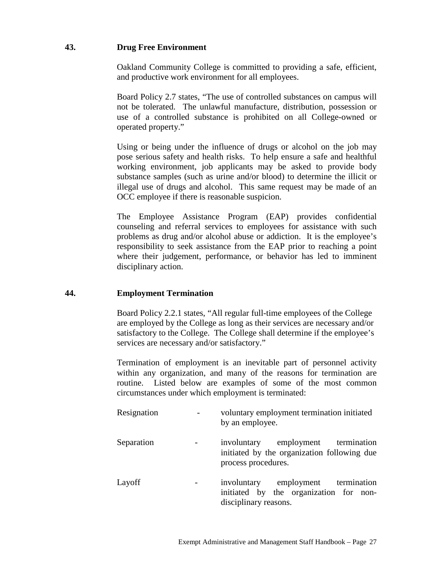# **43. Drug Free Environment**

Oakland Community College is committed to providing a safe, efficient, and productive work environment for all employees.

Board Policy 2.7 states, "The use of controlled substances on campus will not be tolerated. The unlawful manufacture, distribution, possession or use of a controlled substance is prohibited on all College-owned or operated property."

Using or being under the influence of drugs or alcohol on the job may pose serious safety and health risks. To help ensure a safe and healthful working environment, job applicants may be asked to provide body substance samples (such as urine and/or blood) to determine the illicit or illegal use of drugs and alcohol. This same request may be made of an OCC employee if there is reasonable suspicion.

The Employee Assistance Program (EAP) provides confidential counseling and referral services to employees for assistance with such problems as drug and/or alcohol abuse or addiction. It is the employee's responsibility to seek assistance from the EAP prior to reaching a point where their judgement, performance, or behavior has led to imminent disciplinary action.

#### **44. Employment Termination**

Board Policy 2.2.1 states, "All regular full-time employees of the College are employed by the College as long as their services are necessary and/or satisfactory to the College. The College shall determine if the employee's services are necessary and/or satisfactory."

Termination of employment is an inevitable part of personnel activity within any organization, and many of the reasons for termination are routine. Listed below are examples of some of the most common circumstances under which employment is terminated:

| Resignation | voluntary employment termination initiated<br>by an employee.                                            |  |
|-------------|----------------------------------------------------------------------------------------------------------|--|
| Separation  | involuntary employment termination<br>initiated by the organization following due<br>process procedures. |  |
| Layoff      | involuntary employment termination<br>initiated by the organization for non-<br>disciplinary reasons.    |  |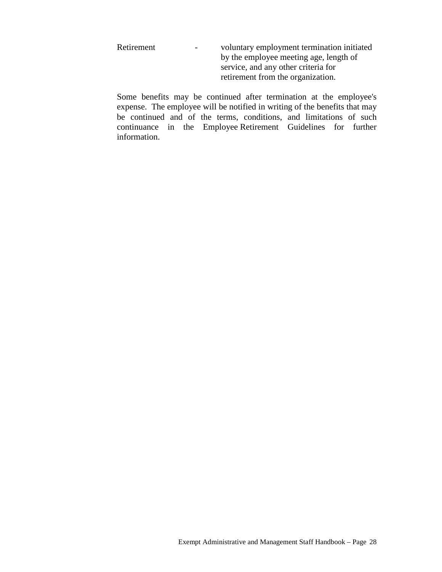| Retirement | $\sim$ | voluntary employment termination initiated |
|------------|--------|--------------------------------------------|
|            |        | by the employee meeting age, length of     |
|            |        | service, and any other criteria for        |
|            |        | retirement from the organization.          |

Some benefits may be continued after termination at the employee's expense. The employee will be notified in writing of the benefits that may be continued and of the terms, conditions, and limitations of such continuance in the Employee Retirement Guidelines for further information.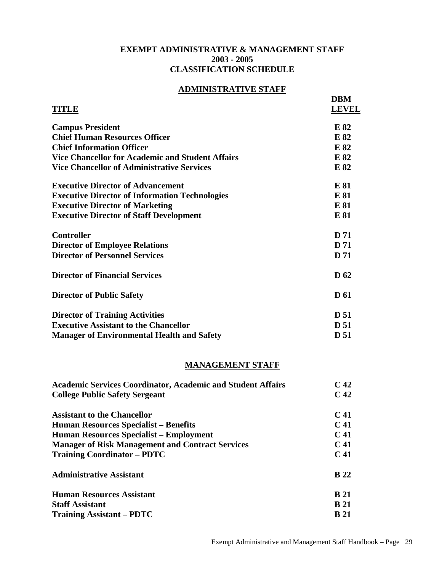# **EXEMPT ADMINISTRATIVE & MANAGEMENT STAFF 2003 - 2005 CLASSIFICATION SCHEDULE**

# **ADMINISTRATIVE STAFF**

| <b>TITLE</b>                                            | <b>DBM</b><br><b>LEVEL</b> |
|---------------------------------------------------------|----------------------------|
| <b>Campus President</b>                                 | E 82                       |
| <b>Chief Human Resources Officer</b>                    | E 82                       |
| <b>Chief Information Officer</b>                        | E 82                       |
| <b>Vice Chancellor for Academic and Student Affairs</b> | E 82                       |
| <b>Vice Chancellor of Administrative Services</b>       | E 82                       |
| <b>Executive Director of Advancement</b>                | E 81                       |
| <b>Executive Director of Information Technologies</b>   | E 81                       |
| <b>Executive Director of Marketing</b>                  | E 81                       |
| <b>Executive Director of Staff Development</b>          | E 81                       |
| <b>Controller</b>                                       | <b>D</b> 71                |
| <b>Director of Employee Relations</b>                   | <b>D</b> 71                |
| <b>Director of Personnel Services</b>                   | <b>D</b> 71                |
| <b>Director of Financial Services</b>                   | D <sub>62</sub>            |
| <b>Director of Public Safety</b>                        | <b>D</b> 61                |
| <b>Director of Training Activities</b>                  | <b>D</b> 51                |
| <b>Executive Assistant to the Chancellor</b>            | <b>D</b> 51                |
| <b>Manager of Environmental Health and Safety</b>       | D 51                       |

#### **MANAGEMENT STAFF**

| <b>Academic Services Coordinator, Academic and Student Affairs</b> |                 |
|--------------------------------------------------------------------|-----------------|
| <b>College Public Safety Sergeant</b>                              |                 |
| <b>Assistant to the Chancellor</b>                                 | C <sub>41</sub> |
| <b>Human Resources Specialist – Benefits</b>                       | C <sub>41</sub> |
| <b>Human Resources Specialist – Employment</b>                     | C <sub>41</sub> |
| <b>Manager of Risk Management and Contract Services</b>            | C <sub>41</sub> |
| <b>Training Coordinator – PDTC</b>                                 | C <sub>41</sub> |
| <b>Administrative Assistant</b>                                    | <b>B</b> 22     |
| <b>Human Resources Assistant</b>                                   | <b>B</b> 21     |
| <b>Staff Assistant</b>                                             | <b>B</b> 21     |
| <b>Training Assistant – PDTC</b>                                   | <b>B</b> 21     |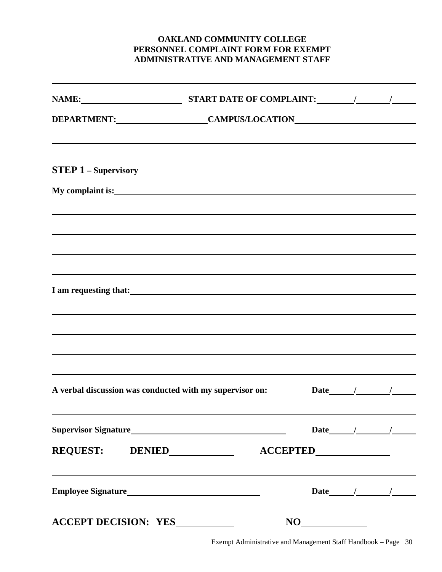# **OAKLAND COMMUNITY COLLEGE PERSONNEL COMPLAINT FORM FOR EXEMPT ADMINISTRATIVE AND MANAGEMENT STAFF**

| <b>STEP 1 - Supervisory</b> | ,我们也不会有什么。""我们的人,我们也不会有什么?""我们的人,我们也不会有什么?""我们的人,我们也不会有什么?""我们的人,我们也不会有什么?""我们的人 |  |              |
|-----------------------------|----------------------------------------------------------------------------------|--|--------------|
|                             | ,我们也不会有什么。""我们的人,我们也不会有什么?""我们的人,我们也不会有什么?""我们的人,我们也不会有什么?""我们的人,我们也不会有什么?""我们的人 |  |              |
|                             |                                                                                  |  |              |
|                             |                                                                                  |  |              |
|                             | I am requesting that:<br><u>I</u> am requesting that:                            |  |              |
|                             | ,我们也不会有什么。""我们的人,我们也不会有什么?""我们的人,我们也不会有什么?""我们的人,我们也不会有什么?""我们的人,我们也不会有什么?""我们的人 |  |              |
|                             | ,我们也不会有什么。""我们的人,我们也不会有什么?""我们的人,我们也不会有什么?""我们的人,我们也不会有什么?""我们的人,我们也不会有什么?""我们的人 |  |              |
|                             | A verbal discussion was conducted with my supervisor on:                         |  |              |
|                             |                                                                                  |  | Date $/$ / / |
|                             |                                                                                  |  |              |
|                             | ,我们也不会有什么。""我们的人,我们也不会有什么?""我们的人,我们也不会有什么?""我们的人,我们也不会有什么?""我们的人,我们也不会有什么?""我们的人 |  | Date $/$ $/$ |
|                             |                                                                                  |  |              |

Exempt Administrative and Management Staff Handbook – Page 30